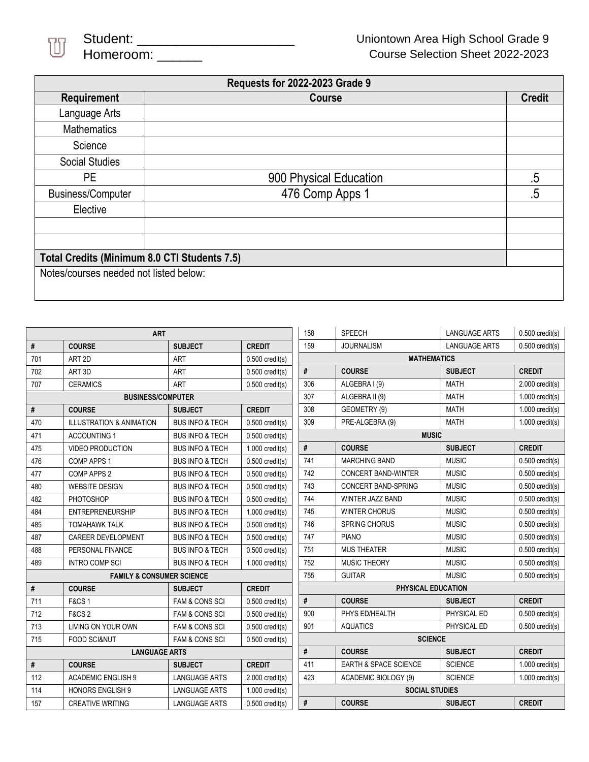

|                                              | <b>Requests for 2022-2023 Grade 9</b> |               |
|----------------------------------------------|---------------------------------------|---------------|
| Requirement                                  | Course                                | <b>Credit</b> |
| Language Arts                                |                                       |               |
| <b>Mathematics</b>                           |                                       |               |
| Science                                      |                                       |               |
| <b>Social Studies</b>                        |                                       |               |
| PE.                                          | 900 Physical Education                | .5            |
| <b>Business/Computer</b>                     | 476 Comp Apps 1                       | .5            |
| Elective                                     |                                       |               |
|                                              |                                       |               |
|                                              |                                       |               |
| Total Credits (Minimum 8.0 CTI Students 7.5) |                                       |               |
| Notes/courses needed not listed below:       |                                       |               |
|                                              |                                       |               |

| #<br><b>COURSE</b><br><b>CREDIT</b><br>159<br><b>JOURNALISM</b><br><b>SUBJECT</b><br><b>MATHEMATICS</b><br><b>ART</b><br>701<br>ART <sub>2D</sub><br>$0.500$ credit(s) | $0.500$ credit(s)<br><b>LANGUAGE ARTS</b><br><b>SUBJECT</b><br><b>CREDIT</b> |  |  |
|------------------------------------------------------------------------------------------------------------------------------------------------------------------------|------------------------------------------------------------------------------|--|--|
|                                                                                                                                                                        |                                                                              |  |  |
|                                                                                                                                                                        |                                                                              |  |  |
| #<br><b>COURSE</b><br>ART <sub>3D</sub><br>702<br><b>ART</b><br>$0.500$ credit(s)                                                                                      |                                                                              |  |  |
| 306<br>ALGEBRA I (9)<br>707<br><b>ART</b><br><b>CERAMICS</b><br>$0.500$ credit(s)                                                                                      | <b>MATH</b><br>$2.000$ credit(s)                                             |  |  |
| 307<br><b>BUSINESS/COMPUTER</b><br>ALGEBRA II (9)                                                                                                                      | <b>MATH</b><br>$1.000$ credit(s)                                             |  |  |
| 308<br>$\#$<br>GEOMETRY (9)<br><b>COURSE</b><br><b>CREDIT</b><br><b>SUBJECT</b>                                                                                        | <b>MATH</b><br>$1.000$ credit(s)                                             |  |  |
| 309<br>PRE-ALGEBRA (9)<br>470<br><b>ILLUSTRATION &amp; ANIMATION</b><br><b>BUS INFO &amp; TECH</b><br>$0.500$ credit(s)                                                | <b>MATH</b><br>$1.000$ credit(s)                                             |  |  |
| <b>MUSIC</b><br>471<br><b>ACCOUNTING 1</b><br><b>BUS INFO &amp; TECH</b><br>$0.500$ credit(s)                                                                          |                                                                              |  |  |
| #<br><b>COURSE</b><br>475<br><b>VIDEO PRODUCTION</b><br><b>BUS INFO &amp; TECH</b><br>$1.000$ credit(s)                                                                | <b>SUBJECT</b><br><b>CREDIT</b>                                              |  |  |
| 741<br><b>MARCHING BAND</b><br>476<br>COMP APPS 1<br><b>BUS INFO &amp; TECH</b><br>$0.500$ credit(s)                                                                   | <b>MUSIC</b><br>$0.500$ credit(s)                                            |  |  |
| 742<br>477<br><b>CONCERT BAND-WINTER</b><br>COMP APPS 2<br><b>BUS INFO &amp; TECH</b><br>$0.500$ credit(s)                                                             | <b>MUSIC</b><br>$0.500$ credit(s)                                            |  |  |
| 480<br>743<br><b>CONCERT BAND-SPRING</b><br><b>WEBSITE DESIGN</b><br><b>BUS INFO &amp; TECH</b><br>$0.500$ credit(s)                                                   | <b>MUSIC</b><br>$0.500$ credit(s)                                            |  |  |
| 744<br>WINTER JAZZ BAND<br>482<br>PHOTOSHOP<br><b>BUS INFO &amp; TECH</b><br>$0.500$ credit(s)                                                                         | <b>MUSIC</b><br>$0.500$ credit(s)                                            |  |  |
| 745<br><b>WINTER CHORUS</b><br>484<br><b>ENTREPRENEURSHIP</b><br><b>BUS INFO &amp; TECH</b><br>$1.000$ credit(s)                                                       | <b>MUSIC</b><br>$0.500$ credit(s)                                            |  |  |
| 746<br><b>SPRING CHORUS</b><br>485<br><b>TOMAHAWK TALK</b><br><b>BUS INFO &amp; TECH</b><br>$0.500$ credit(s)                                                          | <b>MUSIC</b><br>$0.500$ credit(s)                                            |  |  |
| 487<br>747<br>CAREER DEVELOPMENT<br>$0.500$ credit(s)<br><b>PIANO</b><br><b>BUS INFO &amp; TECH</b>                                                                    | <b>MUSIC</b><br>$0.500$ credit(s)                                            |  |  |
| 488<br>751<br><b>MUS THEATER</b><br>PERSONAL FINANCE<br><b>BUS INFO &amp; TECH</b><br>$0.500$ credit(s)                                                                | <b>MUSIC</b><br>$0.500$ credit(s)                                            |  |  |
| 752<br>MUSIC THEORY<br>489<br><b>INTRO COMP SCI</b><br><b>BUS INFO &amp; TECH</b><br>$1.000$ credit(s)                                                                 | $0.500$ credit(s)<br><b>MUSIC</b>                                            |  |  |
| 755<br><b>GUITAR</b><br><b>FAMILY &amp; CONSUMER SCIENCE</b>                                                                                                           | <b>MUSIC</b><br>$0.500$ credit(s)                                            |  |  |
| PHYSICAL EDUCATION<br>#<br><b>CREDIT</b><br><b>COURSE</b><br><b>SUBJECT</b>                                                                                            |                                                                              |  |  |
| #<br><b>COURSE</b><br>711<br><b>F&amp;CS1</b><br><b>FAM &amp; CONS SCI</b><br>$0.500$ credit(s)                                                                        | <b>CREDIT</b><br><b>SUBJECT</b>                                              |  |  |
| 900<br>PHYS ED/HEALTH<br>712<br><b>F&amp;CS 2</b><br><b>FAM &amp; CONS SCI</b><br>$0.500$ credit(s)                                                                    | PHYSICAL ED<br>$0.500$ credit(s)                                             |  |  |
| 713<br>901<br><b>AQUATICS</b><br>LIVING ON YOUR OWN<br><b>FAM &amp; CONS SCI</b><br>$0.500$ credit(s)                                                                  | PHYSICAL ED<br>$0.500$ credit(s)                                             |  |  |
| <b>SCIENCE</b><br>715<br><b>FOOD SCI&amp;NUT</b><br><b>FAM &amp; CONS SCI</b><br>$0.500$ credit(s)                                                                     |                                                                              |  |  |
| #<br><b>COURSE</b><br><b>LANGUAGE ARTS</b>                                                                                                                             | <b>CREDIT</b><br><b>SUBJECT</b>                                              |  |  |
| 411<br>#<br><b>EARTH &amp; SPACE SCIENCE</b><br><b>COURSE</b><br><b>CREDIT</b><br><b>SUBJECT</b>                                                                       | <b>SCIENCE</b><br>$1.000$ credit(s)                                          |  |  |
| 423<br>ACADEMIC BIOLOGY (9)<br>112<br><b>ACADEMIC ENGLISH 9</b><br><b>LANGUAGE ARTS</b><br>$2.000$ credit(s)                                                           | <b>SCIENCE</b><br>$1.000$ credit(s)                                          |  |  |
| 114<br><b>HONORS ENGLISH 9</b><br><b>LANGUAGE ARTS</b><br>$1.000$ credit(s)                                                                                            | <b>SOCIAL STUDIES</b>                                                        |  |  |
| #<br>157<br><b>CREATIVE WRITING</b><br><b>COURSE</b><br><b>LANGUAGE ARTS</b><br>$0.500$ credit(s)                                                                      | <b>SUBJECT</b><br><b>CREDIT</b>                                              |  |  |